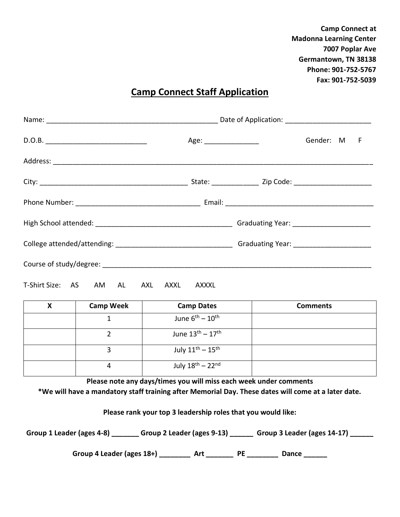**Camp Connect at Madonna Learning Center 7007 Poplar Ave Germantown, TN 38138 Phone: 901-752-5767 Fax: 901-752-5039**

## **Camp Connect Staff Application**

|                                 |       | Gender: M F |
|---------------------------------|-------|-------------|
|                                 |       |             |
|                                 |       |             |
|                                 |       |             |
|                                 |       |             |
|                                 |       |             |
|                                 |       |             |
| T-Shirt Size: AS AM AL AXL AXXL | AXXXL |             |

| <b>Camp Week</b> | <b>Camp Dates</b>                      | <b>Comments</b> |
|------------------|----------------------------------------|-----------------|
|                  | June $6^{th}$ – $10^{th}$              |                 |
|                  | June $13^{th} - 17^{th}$               |                 |
|                  | July $11^{\text{th}} - 15^{\text{th}}$ |                 |
| 4                | July $18^{\text{th}} - 22^{\text{nd}}$ |                 |

**Please note any days/times you will miss each week under comments**

**\*We will have a mandatory staff training after Memorial Day. These dates will come at a later date.**

**Please rank your top 3 leadership roles that you would like:**

**Group 1 Leader (ages 4-8) \_\_\_\_\_\_\_ Group 2 Leader (ages 9-13) \_\_\_\_\_\_ Group 3 Leader (ages 14-17) \_\_\_\_\_\_**

Group 4 Leader (ages 18+) \_\_\_\_\_\_\_\_\_ Art \_\_\_\_\_\_\_\_ PE \_\_\_\_\_\_\_\_ Dance \_\_\_\_\_\_\_